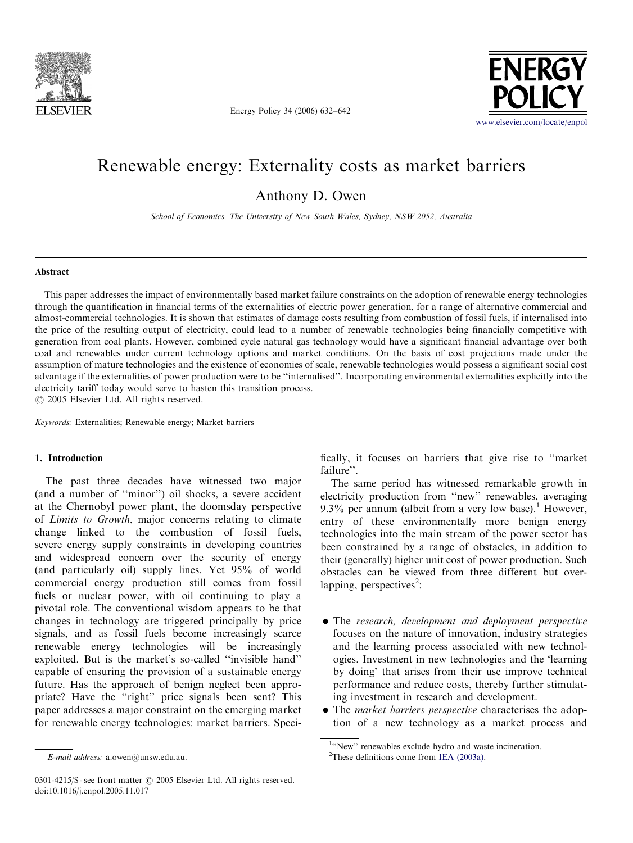

Energy Policy 34 (2006) 632–642



# Renewable energy: Externality costs as market barriers

Anthony D. Owen

School of Economics, The University of New South Wales, Sydney, NSW 2052, Australia

#### Abstract

This paper addresses the impact of environmentally based market failure constraints on the adoption of renewable energy technologies through the quantification in financial terms of the externalities of electric power generation, for a range of alternative commercial and almost-commercial technologies. It is shown that estimates of damage costs resulting from combustion of fossil fuels, if internalised into the price of the resulting output of electricity, could lead to a number of renewable technologies being financially competitive with generation from coal plants. However, combined cycle natural gas technology would have a significant financial advantage over both coal and renewables under current technology options and market conditions. On the basis of cost projections made under the assumption of mature technologies and the existence of economies of scale, renewable technologies would possess a significant social cost advantage if the externalities of power production were to be ''internalised''. Incorporating environmental externalities explicitly into the electricity tariff today would serve to hasten this transition process.

 $\odot$  2005 Elsevier Ltd. All rights reserved.

Keywords: Externalities; Renewable energy; Market barriers

# 1. Introduction

The past three decades have witnessed two major (and a number of ''minor'') oil shocks, a severe accident at the Chernobyl power plant, the doomsday perspective of Limits to Growth, major concerns relating to climate change linked to the combustion of fossil fuels, severe energy supply constraints in developing countries and widespread concern over the security of energy (and particularly oil) supply lines. Yet 95% of world commercial energy production still comes from fossil fuels or nuclear power, with oil continuing to play a pivotal role. The conventional wisdom appears to be that changes in technology are triggered principally by price signals, and as fossil fuels become increasingly scarce renewable energy technologies will be increasingly exploited. But is the market's so-called ''invisible hand'' capable of ensuring the provision of a sustainable energy future. Has the approach of benign neglect been appropriate? Have the "right" price signals been sent? This paper addresses a major constraint on the emerging market for renewable energy technologies: market barriers. Speci-

0301-4215/ $\$  - see front matter  $\circ$  2005 Elsevier Ltd. All rights reserved. doi:10.1016/j.enpol.2005.11.017

fically, it focuses on barriers that give rise to ''market failure''.

The same period has witnessed remarkable growth in electricity production from ''new'' renewables, averaging 9.3% per annum (albeit from a very low base).<sup>1</sup> However, entry of these environmentally more benign energy technologies into the main stream of the power sector has been constrained by a range of obstacles, in addition to their (generally) higher unit cost of power production. Such obstacles can be viewed from three different but overlapping, perspectives<sup>2</sup>:

- The research, development and deployment perspective focuses on the nature of innovation, industry strategies and the learning process associated with new technologies. Investment in new technologies and the 'learning by doing' that arises from their use improve technical performance and reduce costs, thereby further stimulating investment in research and development.
- The *market barriers perspective* characterises the adoption of a new technology as a market process and

E-mail address: a.owen@unsw.edu.au.

<sup>&</sup>lt;sup>1</sup>"New" renewables exclude hydro and waste incineration.

<sup>&</sup>lt;sup>2</sup>These definitions come from [IEA \(2003a\)](#page-10-0).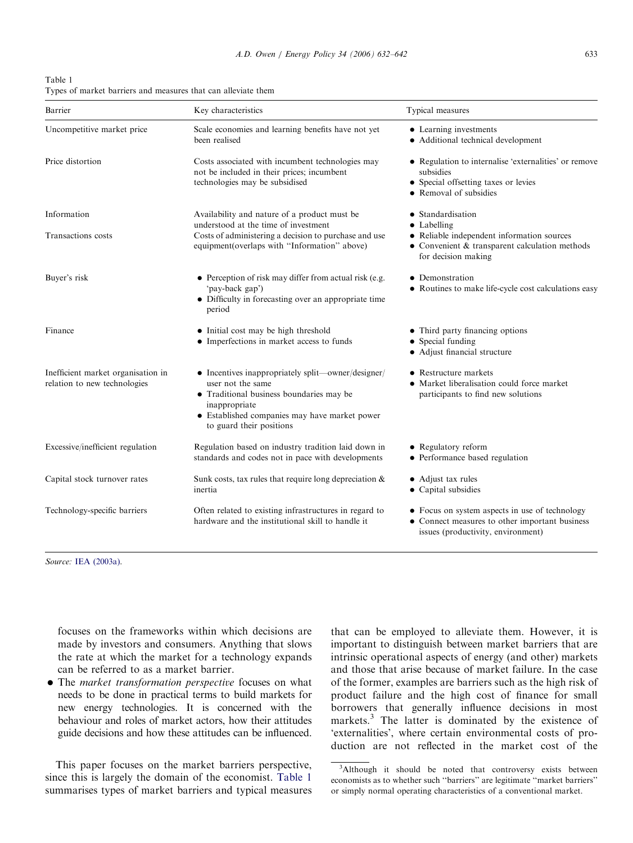Table 1 Types of market barriers and measures that can alleviate them

| Barrier                                                            | Key characteristics                                                                                                                                                                                               | Typical measures                                                                                                                       |  |  |
|--------------------------------------------------------------------|-------------------------------------------------------------------------------------------------------------------------------------------------------------------------------------------------------------------|----------------------------------------------------------------------------------------------------------------------------------------|--|--|
| Uncompetitive market price                                         | Scale economies and learning benefits have not yet<br>been realised                                                                                                                                               | • Learning investments<br>• Additional technical development                                                                           |  |  |
| Price distortion                                                   | Costs associated with incumbent technologies may<br>not be included in their prices; incumbent<br>technologies may be subsidised                                                                                  | • Regulation to internalise 'externalities' or remove<br>subsidies<br>• Special offsetting taxes or levies<br>• Removal of subsidies   |  |  |
| Information                                                        | Availability and nature of a product must be<br>understood at the time of investment                                                                                                                              | • Standardisation<br>• Labelling                                                                                                       |  |  |
| Transactions costs                                                 | Costs of administering a decision to purchase and use<br>equipment(overlaps with "Information" above)                                                                                                             | • Reliable independent information sources<br>$\bullet\,$ Convenient & transparent calculation methods<br>for decision making          |  |  |
| Buyer's risk                                                       | • Perception of risk may differ from actual risk (e.g.<br>'pay-back gap')<br>• Difficulty in forecasting over an appropriate time<br>period                                                                       | • Demonstration<br>• Routines to make life-cycle cost calculations easy                                                                |  |  |
| Finance                                                            | • Initial cost may be high threshold<br>• Imperfections in market access to funds                                                                                                                                 | • Third party financing options<br>• Special funding<br>• Adjust financial structure                                                   |  |  |
| Inefficient market organisation in<br>relation to new technologies | • Incentives inappropriately split—owner/designer/<br>user not the same<br>• Traditional business boundaries may be<br>inappropriate<br>• Established companies may have market power<br>to guard their positions | • Restructure markets<br>• Market liberalisation could force market<br>participants to find new solutions                              |  |  |
| Excessive/inefficient regulation                                   | Regulation based on industry tradition laid down in<br>standards and codes not in pace with developments                                                                                                          | • Regulatory reform<br>• Performance based regulation                                                                                  |  |  |
| Capital stock turnover rates                                       | Sunk costs, tax rules that require long depreciation $\&$<br>inertia                                                                                                                                              | • Adjust tax rules<br>• Capital subsidies                                                                                              |  |  |
| Technology-specific barriers                                       | Often related to existing infrastructures in regard to<br>hardware and the institutional skill to handle it                                                                                                       | • Focus on system aspects in use of technology<br>• Connect measures to other important business<br>issues (productivity, environment) |  |  |

Source: [IEA \(2003a\).](#page-10-0)

focuses on the frameworks within which decisions are made by investors and consumers. Anything that slows the rate at which the market for a technology expands can be referred to as a market barrier.

• The market transformation perspective focuses on what needs to be done in practical terms to build markets for new energy technologies. It is concerned with the behaviour and roles of market actors, how their attitudes guide decisions and how these attitudes can be influenced.

This paper focuses on the market barriers perspective, since this is largely the domain of the economist. Table 1 summarises types of market barriers and typical measures that can be employed to alleviate them. However, it is important to distinguish between market barriers that are intrinsic operational aspects of energy (and other) markets and those that arise because of market failure. In the case of the former, examples are barriers such as the high risk of product failure and the high cost of finance for small borrowers that generally influence decisions in most markets.<sup>3</sup> The latter is dominated by the existence of 'externalities', where certain environmental costs of production are not reflected in the market cost of the

<sup>&</sup>lt;sup>3</sup>Although it should be noted that controversy exists between economists as to whether such ''barriers'' are legitimate ''market barriers'' or simply normal operating characteristics of a conventional market.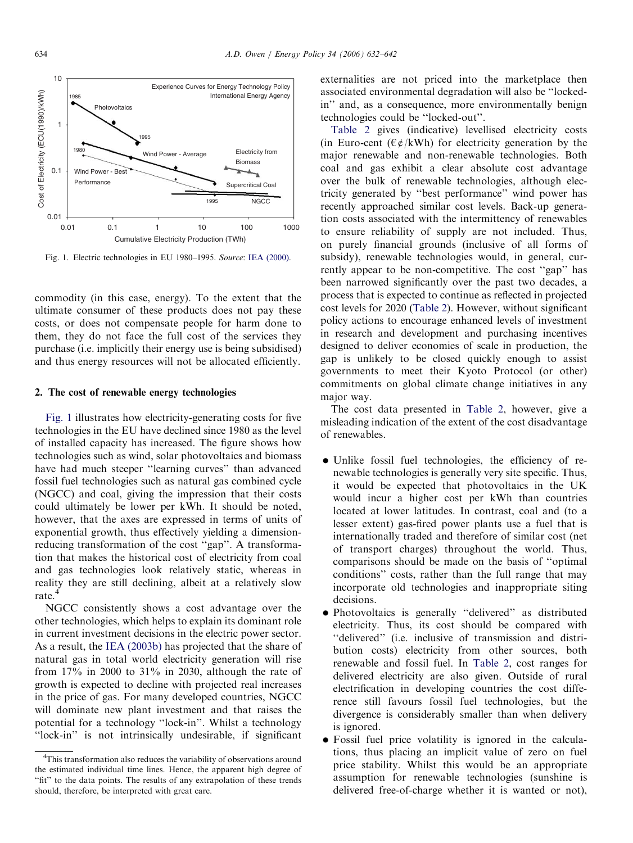

Fig. 1. Electric technologies in EU 1980–1995. Source: [IEA \(2000\).](#page-10-0)

commodity (in this case, energy). To the extent that the ultimate consumer of these products does not pay these costs, or does not compensate people for harm done to them, they do not face the full cost of the services they purchase (i.e. implicitly their energy use is being subsidised) and thus energy resources will not be allocated efficiently.

## 2. The cost of renewable energy technologies

Fig. 1 illustrates how electricity-generating costs for five technologies in the EU have declined since 1980 as the level of installed capacity has increased. The figure shows how technologies such as wind, solar photovoltaics and biomass have had much steeper ''learning curves'' than advanced fossil fuel technologies such as natural gas combined cycle (NGCC) and coal, giving the impression that their costs could ultimately be lower per kWh. It should be noted, however, that the axes are expressed in terms of units of exponential growth, thus effectively yielding a dimensionreducing transformation of the cost ''gap''. A transformation that makes the historical cost of electricity from coal and gas technologies look relatively static, whereas in reality they are still declining, albeit at a relatively slow rate.<sup>4</sup>

NGCC consistently shows a cost advantage over the other technologies, which helps to explain its dominant role in current investment decisions in the electric power sector. As a result, the [IEA \(2003b\)](#page-10-0) has projected that the share of natural gas in total world electricity generation will rise from  $17\%$  in 2000 to  $31\%$  in 2030, although the rate of growth is expected to decline with projected real increases in the price of gas. For many developed countries, NGCC will dominate new plant investment and that raises the potential for a technology ''lock-in''. Whilst a technology "lock-in" is not intrinsically undesirable, if significant externalities are not priced into the marketplace then associated environmental degradation will also be ''lockedin'' and, as a consequence, more environmentally benign technologies could be ''locked-out''.

[Table 2](#page-3-0) gives (indicative) levellised electricity costs (in Euro-cent ( $\theta \notin \mathcal{L}(kWh)$ ) for electricity generation by the major renewable and non-renewable technologies. Both coal and gas exhibit a clear absolute cost advantage over the bulk of renewable technologies, although electricity generated by ''best performance'' wind power has recently approached similar cost levels. Back-up generation costs associated with the intermittency of renewables to ensure reliability of supply are not included. Thus, on purely financial grounds (inclusive of all forms of subsidy), renewable technologies would, in general, currently appear to be non-competitive. The cost ''gap'' has been narrowed significantly over the past two decades, a process that is expected to continue as reflected in projected cost levels for 2020 ([Table 2\)](#page-3-0). However, without significant policy actions to encourage enhanced levels of investment in research and development and purchasing incentives designed to deliver economies of scale in production, the gap is unlikely to be closed quickly enough to assist governments to meet their Kyoto Protocol (or other) commitments on global climate change initiatives in any major way.

The cost data presented in [Table 2,](#page-3-0) however, give a misleading indication of the extent of the cost disadvantage of renewables.

- Unlike fossil fuel technologies, the efficiency of renewable technologies is generally very site specific. Thus, it would be expected that photovoltaics in the UK would incur a higher cost per kWh than countries located at lower latitudes. In contrast, coal and (to a lesser extent) gas-fired power plants use a fuel that is internationally traded and therefore of similar cost (net of transport charges) throughout the world. Thus, comparisons should be made on the basis of ''optimal conditions'' costs, rather than the full range that may incorporate old technologies and inappropriate siting decisions.
- Photovoltaics is generally ''delivered'' as distributed electricity. Thus, its cost should be compared with ''delivered'' (i.e. inclusive of transmission and distribution costs) electricity from other sources, both renewable and fossil fuel. In [Table 2](#page-3-0), cost ranges for delivered electricity are also given. Outside of rural electrification in developing countries the cost difference still favours fossil fuel technologies, but the divergence is considerably smaller than when delivery is ignored.
- Fossil fuel price volatility is ignored in the calculations, thus placing an implicit value of zero on fuel price stability. Whilst this would be an appropriate assumption for renewable technologies (sunshine is delivered free-of-charge whether it is wanted or not),

<sup>&</sup>lt;sup>4</sup>This transformation also reduces the variability of observations around the estimated individual time lines. Hence, the apparent high degree of "fit" to the data points. The results of any extrapolation of these trends should, therefore, be interpreted with great care.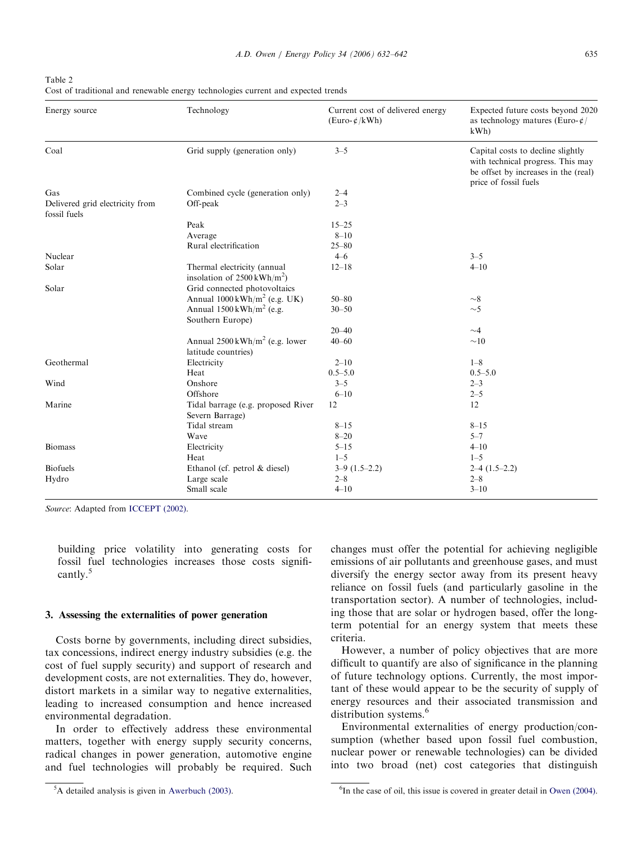<span id="page-3-0"></span>Table 2 Cost of traditional and renewable energy technologies current and expected trends

| Energy source                                   | Technology                                                            | Current cost of delivered energy<br>$(Euro-¢/kWh)$ | Expected future costs beyond 2020<br>as technology matures (Euro- $\phi$ /<br>kWh                                                       |
|-------------------------------------------------|-----------------------------------------------------------------------|----------------------------------------------------|-----------------------------------------------------------------------------------------------------------------------------------------|
| Coal                                            | Grid supply (generation only)                                         | $3 - 5$                                            | Capital costs to decline slightly<br>with technical progress. This may<br>be offset by increases in the (real)<br>price of fossil fuels |
| Gas                                             | Combined cycle (generation only)                                      | $2 - 4$                                            |                                                                                                                                         |
| Delivered grid electricity from<br>fossil fuels | Off-peak                                                              | $2 - 3$                                            |                                                                                                                                         |
|                                                 | Peak                                                                  | $15 - 25$                                          |                                                                                                                                         |
|                                                 | Average                                                               | $8 - 10$                                           |                                                                                                                                         |
|                                                 | Rural electrification                                                 | $25 - 80$                                          |                                                                                                                                         |
| Nuclear                                         |                                                                       | $4 - 6$                                            | $3 - 5$                                                                                                                                 |
| Solar                                           | Thermal electricity (annual<br>insolation of $2500 \text{ kWh/m}^2$ ) | $12 - 18$                                          | $4 - 10$                                                                                                                                |
| Solar                                           | Grid connected photovoltaics                                          |                                                    |                                                                                                                                         |
|                                                 | Annual $1000 \text{ kWh/m}^2$ (e.g. UK)                               | $50 - 80$                                          | $\sim$ 8                                                                                                                                |
|                                                 | Annual $1500 \text{ kWh/m}^2$ (e.g.<br>Southern Europe)               | $30 - 50$                                          | $\sim$ 5                                                                                                                                |
|                                                 |                                                                       | $20 - 40$                                          | $\sim$ 4                                                                                                                                |
|                                                 | Annual $2500 \text{ kWh/m}^2$ (e.g. lower<br>latitude countries)      | $40 - 60$                                          | $\sim10$                                                                                                                                |
| Geothermal                                      | Electricity                                                           | $2 - 10$                                           | $1 - 8$                                                                                                                                 |
|                                                 | Heat                                                                  | $0.5 - 5.0$                                        | $0.5 - 5.0$                                                                                                                             |
| Wind                                            | Onshore                                                               | $3 - 5$                                            | $2 - 3$                                                                                                                                 |
|                                                 | Offshore                                                              | $6 - 10$                                           | $2 - 5$                                                                                                                                 |
| Marine                                          | Tidal barrage (e.g. proposed River<br>Severn Barrage)                 | 12                                                 | 12                                                                                                                                      |
|                                                 | Tidal stream                                                          | $8 - 15$                                           | $8 - 15$                                                                                                                                |
|                                                 | Wave                                                                  | $8 - 20$                                           | $5 - 7$                                                                                                                                 |
| <b>Biomass</b>                                  | Electricity                                                           | $5 - 15$                                           | $4 - 10$                                                                                                                                |
|                                                 | Heat                                                                  | $1 - 5$                                            | $1 - 5$                                                                                                                                 |
| <b>Biofuels</b>                                 | Ethanol (cf. petrol & diesel)                                         | $3-9$ $(1.5-2.2)$                                  | $2-4$ $(1.5-2.2)$                                                                                                                       |
| Hydro                                           | Large scale                                                           | $2 - 8$                                            | $2 - 8$                                                                                                                                 |
|                                                 | Small scale                                                           | $4 - 10$                                           | $3 - 10$                                                                                                                                |

Source: Adapted from [ICCEPT \(2002\)](#page-10-0).

building price volatility into generating costs for fossil fuel technologies increases those costs significantly.<sup>5</sup>

## 3. Assessing the externalities of power generation

Costs borne by governments, including direct subsidies, tax concessions, indirect energy industry subsidies (e.g. the cost of fuel supply security) and support of research and development costs, are not externalities. They do, however, distort markets in a similar way to negative externalities, leading to increased consumption and hence increased environmental degradation.

In order to effectively address these environmental matters, together with energy supply security concerns, radical changes in power generation, automotive engine and fuel technologies will probably be required. Such changes must offer the potential for achieving negligible emissions of air pollutants and greenhouse gases, and must diversify the energy sector away from its present heavy reliance on fossil fuels (and particularly gasoline in the transportation sector). A number of technologies, including those that are solar or hydrogen based, offer the longterm potential for an energy system that meets these criteria.

However, a number of policy objectives that are more difficult to quantify are also of significance in the planning of future technology options. Currently, the most important of these would appear to be the security of supply of energy resources and their associated transmission and distribution systems.<sup>6</sup>

Environmental externalities of energy production/consumption (whether based upon fossil fuel combustion, nuclear power or renewable technologies) can be divided into two broad (net) cost categories that distinguish

 ${}^5$ A detailed analysis is given in [Awerbuch \(2003\)](#page-10-0).

 ${}^{6}$ In the case of oil, this issue is covered in greater detail in [Owen \(2004\)](#page-10-0).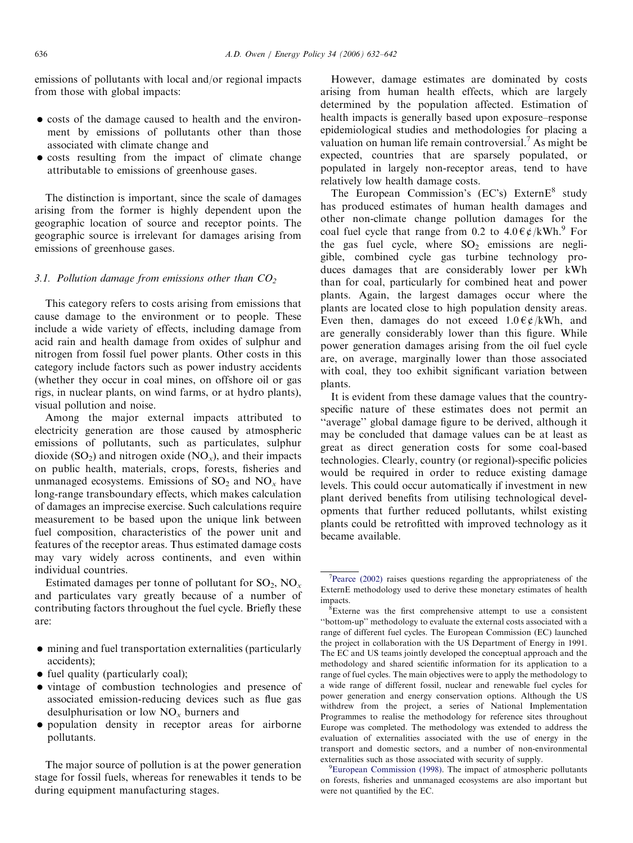emissions of pollutants with local and/or regional impacts from those with global impacts:

- costs of the damage caused to health and the environment by emissions of pollutants other than those associated with climate change and
- costs resulting from the impact of climate change attributable to emissions of greenhouse gases.

The distinction is important, since the scale of damages arising from the former is highly dependent upon the geographic location of source and receptor points. The geographic source is irrelevant for damages arising from emissions of greenhouse gases.

### 3.1. Pollution damage from emissions other than  $CO<sub>2</sub>$

This category refers to costs arising from emissions that cause damage to the environment or to people. These include a wide variety of effects, including damage from acid rain and health damage from oxides of sulphur and nitrogen from fossil fuel power plants. Other costs in this category include factors such as power industry accidents (whether they occur in coal mines, on offshore oil or gas rigs, in nuclear plants, on wind farms, or at hydro plants), visual pollution and noise.

Among the major external impacts attributed to electricity generation are those caused by atmospheric emissions of pollutants, such as particulates, sulphur dioxide  $(SO_2)$  and nitrogen oxide  $(NO_x)$ , and their impacts on public health, materials, crops, forests, fisheries and unmanaged ecosystems. Emissions of  $SO_2$  and  $NO_x$  have long-range transboundary effects, which makes calculation of damages an imprecise exercise. Such calculations require measurement to be based upon the unique link between fuel composition, characteristics of the power unit and features of the receptor areas. Thus estimated damage costs may vary widely across continents, and even within individual countries.

Estimated damages per tonne of pollutant for  $SO_2$ ,  $NO_x$ and particulates vary greatly because of a number of contributing factors throughout the fuel cycle. Briefly these are:

- mining and fuel transportation externalities (particularly accidents);
- $\bullet$  fuel quality (particularly coal);
- vintage of combustion technologies and presence of associated emission-reducing devices such as flue gas desulphurisation or low  $NO<sub>x</sub>$  burners and
- population density in receptor areas for airborne pollutants.

The major source of pollution is at the power generation stage for fossil fuels, whereas for renewables it tends to be during equipment manufacturing stages.

However, damage estimates are dominated by costs arising from human health effects, which are largely determined by the population affected. Estimation of health impacts is generally based upon exposure–response epidemiological studies and methodologies for placing a valuation on human life remain controversial.<sup>7</sup> As might be expected, countries that are sparsely populated, or populated in largely non-receptor areas, tend to have relatively low health damage costs.

The European Commission's (EC's) ExternE<sup>8</sup> study has produced estimates of human health damages and other non-climate change pollution damages for the coal fuel cycle that range from 0.2 to  $4.0 \, \epsilon \phi / \text{kWh}^9$ . For the gas fuel cycle, where  $SO_2$  emissions are negligible, combined cycle gas turbine technology produces damages that are considerably lower per kWh than for coal, particularly for combined heat and power plants. Again, the largest damages occur where the plants are located close to high population density areas. Even then, damages do not exceed  $1.0 \in \mathcal{L}/kWh$ , and are generally considerably lower than this figure. While power generation damages arising from the oil fuel cycle are, on average, marginally lower than those associated with coal, they too exhibit significant variation between plants.

It is evident from these damage values that the countryspecific nature of these estimates does not permit an "average" global damage figure to be derived, although it may be concluded that damage values can be at least as great as direct generation costs for some coal-based technologies. Clearly, country (or regional)-specific policies would be required in order to reduce existing damage levels. This could occur automatically if investment in new plant derived benefits from utilising technological developments that further reduced pollutants, whilst existing plants could be retrofitted with improved technology as it became available.

<sup>9</sup>[European Commission \(1998\).](#page-10-0) The impact of atmospheric pollutants on forests, fisheries and unmanaged ecosystems are also important but were not quantified by the EC.

 $7$ [Pearce \(2002\)](#page-10-0) raises questions regarding the appropriateness of the ExternE methodology used to derive these monetary estimates of health impacts.

 ${}^{8}$ Externe was the first comprehensive attempt to use a consistent ''bottom-up'' methodology to evaluate the external costs associated with a range of different fuel cycles. The European Commission (EC) launched the project in collaboration with the US Department of Energy in 1991. The EC and US teams jointly developed the conceptual approach and the methodology and shared scientific information for its application to a range of fuel cycles. The main objectives were to apply the methodology to a wide range of different fossil, nuclear and renewable fuel cycles for power generation and energy conservation options. Although the US withdrew from the project, a series of National Implementation Programmes to realise the methodology for reference sites throughout Europe was completed. The methodology was extended to address the evaluation of externalities associated with the use of energy in the transport and domestic sectors, and a number of non-environmental externalities such as those associated with security of supply.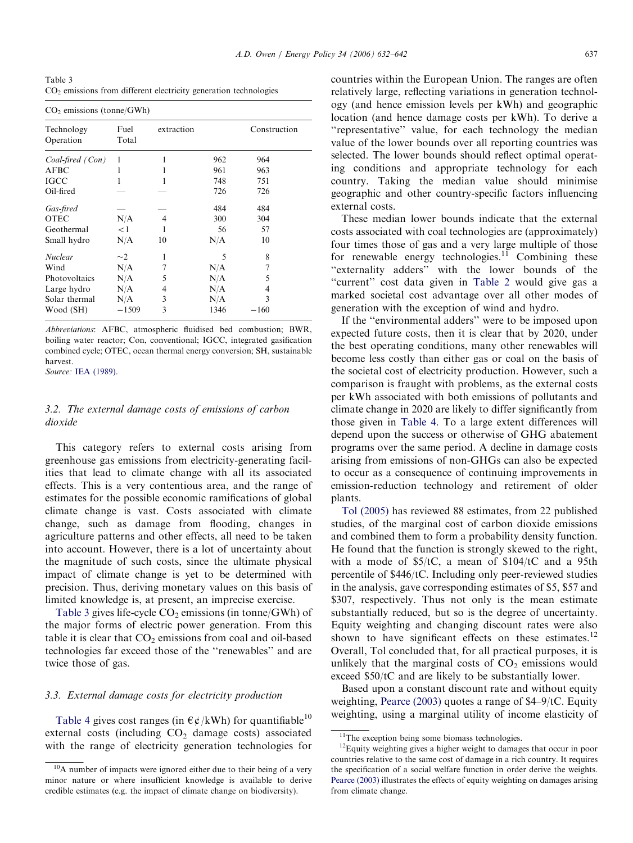Table 3  $CO<sub>2</sub>$  emissions from different electricity generation technologies

|  | $CO2$ emissions (tonne/GWh) |
|--|-----------------------------|
|  |                             |

| $\cdots$      |            |      |              |  |  |  |
|---------------|------------|------|--------------|--|--|--|
| Fuel<br>Total | extraction |      | Construction |  |  |  |
|               |            | 962  | 964          |  |  |  |
|               |            | 961  | 963          |  |  |  |
|               |            | 748  | 751          |  |  |  |
|               |            | 726  | 726          |  |  |  |
|               |            | 484  | 484          |  |  |  |
| N/A           | 4          | 300  | 304          |  |  |  |
| $\lt 1$       |            | 56   | 57           |  |  |  |
| N/A           | 10         | N/A  | 10           |  |  |  |
| $\sim$ 2      |            | 5    | 8            |  |  |  |
| N/A           | 7          | N/A  |              |  |  |  |
| N/A           | 5          | N/A  | 5            |  |  |  |
| N/A           | 4          | N/A  | 4            |  |  |  |
| N/A           | 3          | N/A  | 3            |  |  |  |
| $-1509$       | 3          | 1346 | $-160$       |  |  |  |
|               |            |      |              |  |  |  |

Abbreviations: AFBC, atmospheric fluidised bed combustion; BWR, boiling water reactor; Con, conventional; IGCC, integrated gasification combined cycle; OTEC, ocean thermal energy conversion; SH, sustainable harvest.

Source: [IEA \(1989\).](#page-10-0)

# 3.2. The external damage costs of emissions of carbon dioxide

This category refers to external costs arising from greenhouse gas emissions from electricity-generating facilities that lead to climate change with all its associated effects. This is a very contentious area, and the range of estimates for the possible economic ramifications of global climate change is vast. Costs associated with climate change, such as damage from flooding, changes in agriculture patterns and other effects, all need to be taken into account. However, there is a lot of uncertainty about the magnitude of such costs, since the ultimate physical impact of climate change is yet to be determined with precision. Thus, deriving monetary values on this basis of limited knowledge is, at present, an imprecise exercise.

Table 3 gives life-cycle  $CO_2$  emissions (in tonne/GWh) of the major forms of electric power generation. From this table it is clear that  $CO<sub>2</sub>$  emissions from coal and oil-based technologies far exceed those of the ''renewables'' and are twice those of gas.

#### 3.3. External damage costs for electricity production

[Table 4](#page-6-0) gives cost ranges (in  $\epsilon \phi$ /kWh) for quantifiable<sup>10</sup> external costs (including  $CO<sub>2</sub>$  damage costs) associated with the range of electricity generation technologies for countries within the European Union. The ranges are often relatively large, reflecting variations in generation technology (and hence emission levels per kWh) and geographic location (and hence damage costs per kWh). To derive a "representative" value, for each technology the median value of the lower bounds over all reporting countries was selected. The lower bounds should reflect optimal operating conditions and appropriate technology for each country. Taking the median value should minimise geographic and other country-specific factors influencing external costs.

These median lower bounds indicate that the external costs associated with coal technologies are (approximately) four times those of gas and a very large multiple of those for renewable energy technologies.<sup>11</sup> Combining these "externality adders" with the lower bounds of the ''current'' cost data given in [Table 2](#page-3-0) would give gas a marked societal cost advantage over all other modes of generation with the exception of wind and hydro.

If the ''environmental adders'' were to be imposed upon expected future costs, then it is clear that by 2020, under the best operating conditions, many other renewables will become less costly than either gas or coal on the basis of the societal cost of electricity production. However, such a comparison is fraught with problems, as the external costs per kWh associated with both emissions of pollutants and climate change in 2020 are likely to differ significantly from those given in [Table 4](#page-6-0). To a large extent differences will depend upon the success or otherwise of GHG abatement programs over the same period. A decline in damage costs arising from emissions of non-GHGs can also be expected to occur as a consequence of continuing improvements in emission-reduction technology and retirement of older plants.

[Tol \(2005\)](#page-10-0) has reviewed 88 estimates, from 22 published studies, of the marginal cost of carbon dioxide emissions and combined them to form a probability density function. He found that the function is strongly skewed to the right, with a mode of \$5/tC, a mean of \$104/tC and a 95th percentile of \$446/tC. Including only peer-reviewed studies in the analysis, gave corresponding estimates of \$5, \$57 and \$307, respectively. Thus not only is the mean estimate substantially reduced, but so is the degree of uncertainty. Equity weighting and changing discount rates were also shown to have significant effects on these estimates. $12$ Overall, Tol concluded that, for all practical purposes, it is unlikely that the marginal costs of  $CO<sub>2</sub>$  emissions would exceed \$50/tC and are likely to be substantially lower.

Based upon a constant discount rate and without equity weighting, [Pearce \(2003\)](#page-10-0) quotes a range of \$4–9/tC. Equity weighting, using a marginal utility of income elasticity of

<sup>&</sup>lt;sup>10</sup>A number of impacts were ignored either due to their being of a very minor nature or where insufficient knowledge is available to derive credible estimates (e.g. the impact of climate change on biodiversity).

<sup>&</sup>lt;sup>11</sup>The exception being some biomass technologies.

<sup>&</sup>lt;sup>12</sup>Equity weighting gives a higher weight to damages that occur in poor countries relative to the same cost of damage in a rich country. It requires the specification of a social welfare function in order derive the weights. [Pearce \(2003\)](#page-10-0) illustrates the effects of equity weighting on damages arising from climate change.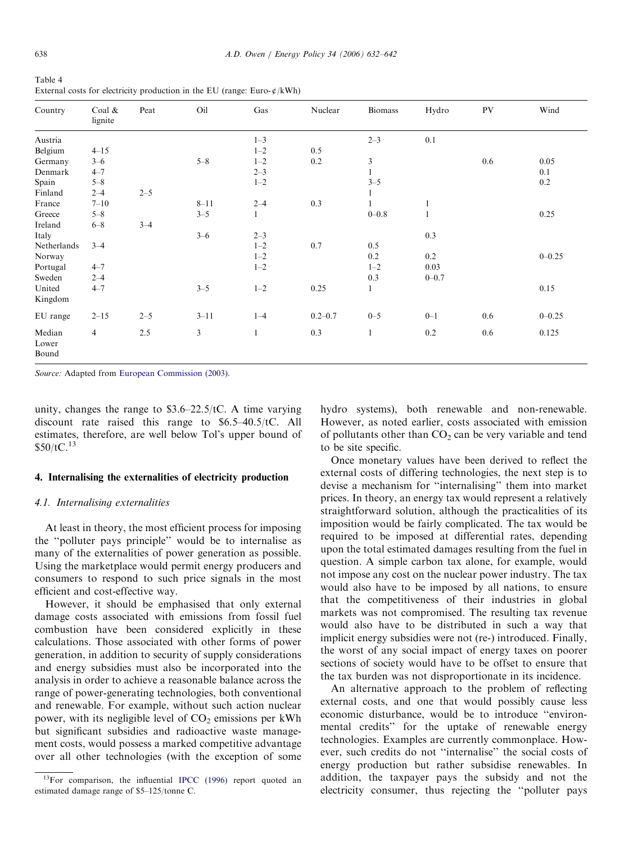<span id="page-6-0"></span>Table 4 External costs for electricity production in the EU (range: Euro- $\phi$ /kWh)

| Country                  | Coal $\&$<br>lignite | Peat    | Oil            | Gas          | Nuclear     | <b>Biomass</b> | Hydro        | PV  | Wind       |
|--------------------------|----------------------|---------|----------------|--------------|-------------|----------------|--------------|-----|------------|
| Austria                  |                      |         |                | $1 - 3$      |             | $2 - 3$        | 0.1          |     |            |
| Belgium                  | $4 - 15$             |         |                | $1 - 2$      | 0.5         |                |              |     |            |
| Germany                  | $3 - 6$              |         | $5 - 8$        | $1 - 2$      | 0.2         | $\mathfrak{Z}$ |              | 0.6 | 0.05       |
| Denmark                  | $4 - 7$              |         |                | $2 - 3$      |             |                |              |     | 0.1        |
| Spain                    | $5 - 8$              |         |                | $1 - 2$      |             | $3 - 5$        |              |     | 0.2        |
| Finland                  | $2 - 4$              | $2 - 5$ |                |              |             |                |              |     |            |
| France                   | $7 - 10$             |         | $8 - 11$       | $2 - 4$      | 0.3         |                | 1            |     |            |
| Greece                   | $5 - 8$              |         | $3 - 5$        | $\mathbf{1}$ |             | $0 - 0.8$      | $\mathbf{1}$ |     | 0.25       |
| Ireland                  | $6 - 8$              | $3 - 4$ |                |              |             |                |              |     |            |
| Italy                    |                      |         | $3 - 6$        | $2 - 3$      |             |                | 0.3          |     |            |
| Netherlands              | $3 - 4$              |         |                | $1 - 2$      | 0.7         | 0.5            |              |     |            |
| Norway                   |                      |         |                | $1 - 2$      |             | 0.2            | 0.2          |     | $0 - 0.25$ |
| Portugal                 | $4 - 7$              |         |                | $1 - 2$      |             | $1 - 2$        | 0.03         |     |            |
| Sweden                   | $2 - 4$              |         |                |              |             | 0.3            | $0 - 0.7$    |     |            |
| United                   | $4 - 7$              |         | $3 - 5$        | $1 - 2$      | 0.25        | $\mathbf{1}$   |              |     | 0.15       |
| Kingdom                  |                      |         |                |              |             |                |              |     |            |
| EU range                 | $2 - 15$             | $2 - 5$ | $3 - 11$       | $1 - 4$      | $0.2 - 0.7$ | $0 - 5$        | $0 - 1$      | 0.6 | $0 - 0.25$ |
| Median<br>Lower<br>Bound | $\overline{4}$       | 2.5     | $\mathfrak{Z}$ | 1            | 0.3         | $\mathbf{1}$   | 0.2          | 0.6 | 0.125      |

Source: Adapted from [European Commission \(2003\)](#page-10-0).

unity, changes the range to \$3.6–22.5/tC. A time varying discount rate raised this range to \$6.5–40.5/tC. All estimates, therefore, are well below Tol's upper bound of  $$50/tC.<sup>13</sup>$ 

#### 4. Internalising the externalities of electricity production

#### 4.1. Internalising externalities

At least in theory, the most efficient process for imposing the ''polluter pays principle'' would be to internalise as many of the externalities of power generation as possible. Using the marketplace would permit energy producers and consumers to respond to such price signals in the most efficient and cost-effective way.

However, it should be emphasised that only external damage costs associated with emissions from fossil fuel combustion have been considered explicitly in these calculations. Those associated with other forms of power generation, in addition to security of supply considerations and energy subsidies must also be incorporated into the analysis in order to achieve a reasonable balance across the range of power-generating technologies, both conventional and renewable. For example, without such action nuclear power, with its negligible level of  $CO<sub>2</sub>$  emissions per kWh but significant subsidies and radioactive waste management costs, would possess a marked competitive advantage over all other technologies (with the exception of some

hydro systems), both renewable and non-renewable. However, as noted earlier, costs associated with emission of pollutants other than  $CO<sub>2</sub>$  can be very variable and tend to be site specific.

Once monetary values have been derived to reflect the external costs of differing technologies, the next step is to devise a mechanism for ''internalising'' them into market prices. In theory, an energy tax would represent a relatively straightforward solution, although the practicalities of its imposition would be fairly complicated. The tax would be required to be imposed at differential rates, depending upon the total estimated damages resulting from the fuel in question. A simple carbon tax alone, for example, would not impose any cost on the nuclear power industry. The tax would also have to be imposed by all nations, to ensure that the competitiveness of their industries in global markets was not compromised. The resulting tax revenue would also have to be distributed in such a way that implicit energy subsidies were not (re-) introduced. Finally, the worst of any social impact of energy taxes on poorer sections of society would have to be offset to ensure that the tax burden was not disproportionate in its incidence.

An alternative approach to the problem of reflecting external costs, and one that would possibly cause less economic disturbance, would be to introduce ''environmental credits'' for the uptake of renewable energy technologies. Examples are currently commonplace. However, such credits do not ''internalise'' the social costs of energy production but rather subsidise renewables. In addition, the taxpayer pays the subsidy and not the electricity consumer, thus rejecting the ''polluter pays

<sup>&</sup>lt;sup>13</sup>For comparison, the influential [IPCC \(1996\)](#page-10-0) report quoted an estimated damage range of \$5–125/tonne C.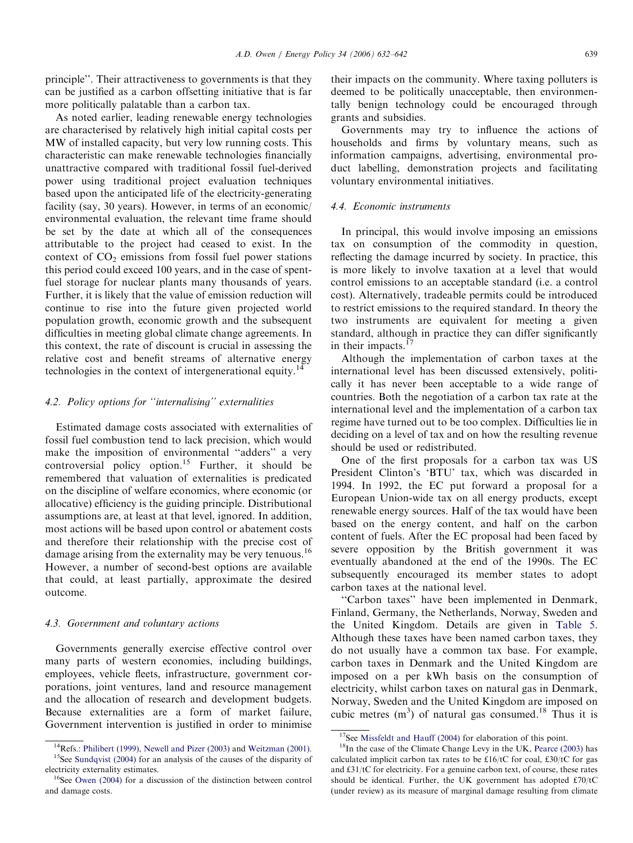principle''. Their attractiveness to governments is that they can be justified as a carbon offsetting initiative that is far more politically palatable than a carbon tax.

As noted earlier, leading renewable energy technologies are characterised by relatively high initial capital costs per MW of installed capacity, but very low running costs. This characteristic can make renewable technologies financially unattractive compared with traditional fossil fuel-derived power using traditional project evaluation techniques based upon the anticipated life of the electricity-generating facility (say, 30 years). However, in terms of an economic/ environmental evaluation, the relevant time frame should be set by the date at which all of the consequences attributable to the project had ceased to exist. In the context of  $CO<sub>2</sub>$  emissions from fossil fuel power stations this period could exceed 100 years, and in the case of spentfuel storage for nuclear plants many thousands of years. Further, it is likely that the value of emission reduction will continue to rise into the future given projected world population growth, economic growth and the subsequent difficulties in meeting global climate change agreements. In this context, the rate of discount is crucial in assessing the relative cost and benefit streams of alternative energy technologies in the context of intergenerational equity.<sup>14</sup>

## 4.2. Policy options for ''internalising'' externalities

Estimated damage costs associated with externalities of fossil fuel combustion tend to lack precision, which would make the imposition of environmental ''adders'' a very controversial policy option.<sup>15</sup> Further, it should be remembered that valuation of externalities is predicated on the discipline of welfare economics, where economic (or allocative) efficiency is the guiding principle. Distributional assumptions are, at least at that level, ignored. In addition, most actions will be based upon control or abatement costs and therefore their relationship with the precise cost of damage arising from the externality may be very tenuous.<sup>16</sup> However, a number of second-best options are available that could, at least partially, approximate the desired outcome.

#### 4.3. Government and voluntary actions

Governments generally exercise effective control over many parts of western economies, including buildings, employees, vehicle fleets, infrastructure, government corporations, joint ventures, land and resource management and the allocation of research and development budgets. Because externalities are a form of market failure, Government intervention is justified in order to minimise their impacts on the community. Where taxing polluters is deemed to be politically unacceptable, then environmentally benign technology could be encouraged through grants and subsidies.

Governments may try to influence the actions of households and firms by voluntary means, such as information campaigns, advertising, environmental product labelling, demonstration projects and facilitating voluntary environmental initiatives.

#### 4.4. Economic instruments

In principal, this would involve imposing an emissions tax on consumption of the commodity in question, reflecting the damage incurred by society. In practice, this is more likely to involve taxation at a level that would control emissions to an acceptable standard (i.e. a control cost). Alternatively, tradeable permits could be introduced to restrict emissions to the required standard. In theory the two instruments are equivalent for meeting a given standard, although in practice they can differ significantly in their impacts. $17$ 

Although the implementation of carbon taxes at the international level has been discussed extensively, politically it has never been acceptable to a wide range of countries. Both the negotiation of a carbon tax rate at the international level and the implementation of a carbon tax regime have turned out to be too complex. Difficulties lie in deciding on a level of tax and on how the resulting revenue should be used or redistributed.

One of the first proposals for a carbon tax was US President Clinton's 'BTU' tax, which was discarded in 1994. In 1992, the EC put forward a proposal for a European Union-wide tax on all energy products, except renewable energy sources. Half of the tax would have been based on the energy content, and half on the carbon content of fuels. After the EC proposal had been faced by severe opposition by the British government it was eventually abandoned at the end of the 1990s. The EC subsequently encouraged its member states to adopt carbon taxes at the national level.

''Carbon taxes'' have been implemented in Denmark, Finland, Germany, the Netherlands, Norway, Sweden and the United Kingdom. Details are given in [Table 5.](#page-8-0) Although these taxes have been named carbon taxes, they do not usually have a common tax base. For example, carbon taxes in Denmark and the United Kingdom are imposed on a per kWh basis on the consumption of electricity, whilst carbon taxes on natural gas in Denmark, Norway, Sweden and the United Kingdom are imposed on cubic metres  $(m<sup>3</sup>)$  of natural gas consumed.<sup>18</sup> Thus it is

<sup>&</sup>lt;sup>14</sup>Refs.: [Philibert \(1999\),](#page-10-0) [Newell and Pizer \(2003\)](#page-10-0) and [Weitzman \(2001\)](#page-10-0). <sup>15</sup>See [Sundqvist \(2004\)](#page-10-0) for an analysis of the causes of the disparity of

electricity externality estimates.

<sup>&</sup>lt;sup>16</sup>See [Owen \(2004\)](#page-10-0) for a discussion of the distinction between control and damage costs.

<sup>&</sup>lt;sup>17</sup>See [Missfeldt and Hauff \(2004\)](#page-10-0) for elaboration of this point.

<sup>&</sup>lt;sup>18</sup>In the case of the Climate Change Levy in the UK, [Pearce \(2003\)](#page-10-0) has calculated implicit carbon tax rates to be £16/tC for coal, £30/tC for gas and £31/tC for electricity. For a genuine carbon text, of course, these rates should be identical. Further, the UK government has adopted £70/tC (under review) as its measure of marginal damage resulting from climate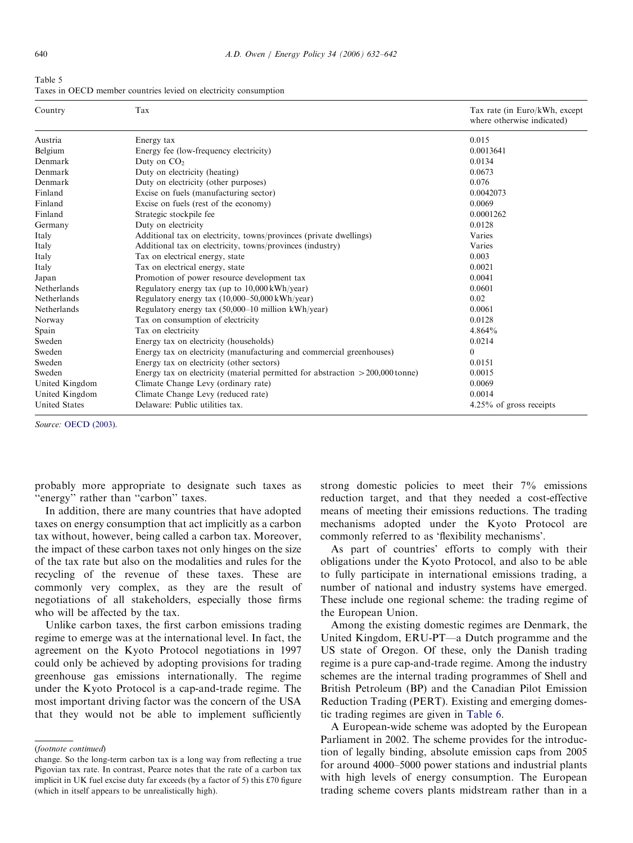<span id="page-8-0"></span>

| Table 5                                                          |  |  |  |
|------------------------------------------------------------------|--|--|--|
| Taxes in OECD member countries levied on electricity consumption |  |  |  |

| Country              | Tax                                                                             | Tax rate (in Euro/kWh, except<br>where otherwise indicated) |
|----------------------|---------------------------------------------------------------------------------|-------------------------------------------------------------|
| Austria              | Energy tax                                                                      | 0.015                                                       |
| Belgium              | Energy fee (low-frequency electricity)                                          | 0.0013641                                                   |
| Denmark              | Duty on $CO2$                                                                   | 0.0134                                                      |
| Denmark              | Duty on electricity (heating)                                                   | 0.0673                                                      |
| Denmark              | Duty on electricity (other purposes)                                            | 0.076                                                       |
| Finland              | Excise on fuels (manufacturing sector)                                          | 0.0042073                                                   |
| Finland              | Excise on fuels (rest of the economy)                                           | 0.0069                                                      |
| Finland              | Strategic stockpile fee                                                         | 0.0001262                                                   |
| Germany              | Duty on electricity                                                             | 0.0128                                                      |
| Italy                | Additional tax on electricity, towns/provinces (private dwellings)              | Varies                                                      |
| Italy                | Additional tax on electricity, towns/provinces (industry)                       | Varies                                                      |
| Italy                | Tax on electrical energy, state                                                 | 0.003                                                       |
| Italy                | Tax on electrical energy, state                                                 | 0.0021                                                      |
| Japan                | Promotion of power resource development tax                                     | 0.0041                                                      |
| Netherlands          | Regulatory energy tax (up to $10,000 \text{ kWh/year}$ )                        | 0.0601                                                      |
| Netherlands          | Regulatory energy tax $(10,000-50,000 \text{ kWh/year})$                        | 0.02                                                        |
| <b>Netherlands</b>   | Regulatory energy tax (50,000–10 million kWh/year)                              | 0.0061                                                      |
| Norway               | Tax on consumption of electricity                                               | 0.0128                                                      |
| Spain                | Tax on electricity                                                              | 4.864%                                                      |
| Sweden               | Energy tax on electricity (households)                                          | 0.0214                                                      |
| Sweden               | Energy tax on electricity (manufacturing and commercial greenhouses)            | $\theta$                                                    |
| Sweden               | Energy tax on electricity (other sectors)                                       | 0.0151                                                      |
| Sweden               | Energy tax on electricity (material permitted for abstraction $>200,000$ tonne) | 0.0015                                                      |
| United Kingdom       | Climate Change Levy (ordinary rate)                                             | 0.0069                                                      |
| United Kingdom       | Climate Change Levy (reduced rate)                                              | 0.0014                                                      |
| <b>United States</b> | Delaware: Public utilities tax.                                                 | $4.25\%$ of gross receipts                                  |

Source: [OECD \(2003\)](#page-10-0).

probably more appropriate to designate such taxes as ''energy'' rather than ''carbon'' taxes.

In addition, there are many countries that have adopted taxes on energy consumption that act implicitly as a carbon tax without, however, being called a carbon tax. Moreover, the impact of these carbon taxes not only hinges on the size of the tax rate but also on the modalities and rules for the recycling of the revenue of these taxes. These are commonly very complex, as they are the result of negotiations of all stakeholders, especially those firms who will be affected by the tax.

Unlike carbon taxes, the first carbon emissions trading regime to emerge was at the international level. In fact, the agreement on the Kyoto Protocol negotiations in 1997 could only be achieved by adopting provisions for trading greenhouse gas emissions internationally. The regime under the Kyoto Protocol is a cap-and-trade regime. The most important driving factor was the concern of the USA that they would not be able to implement sufficiently strong domestic policies to meet their 7% emissions reduction target, and that they needed a cost-effective means of meeting their emissions reductions. The trading mechanisms adopted under the Kyoto Protocol are commonly referred to as 'flexibility mechanisms'.

As part of countries' efforts to comply with their obligations under the Kyoto Protocol, and also to be able to fully participate in international emissions trading, a number of national and industry systems have emerged. These include one regional scheme: the trading regime of the European Union.

Among the existing domestic regimes are Denmark, the United Kingdom, ERU-PT—a Dutch programme and the US state of Oregon. Of these, only the Danish trading regime is a pure cap-and-trade regime. Among the industry schemes are the internal trading programmes of Shell and British Petroleum (BP) and the Canadian Pilot Emission Reduction Trading (PERT). Existing and emerging domestic trading regimes are given in [Table 6.](#page-9-0)

A European-wide scheme was adopted by the European Parliament in 2002. The scheme provides for the introduction of legally binding, absolute emission caps from 2005 for around 4000–5000 power stations and industrial plants with high levels of energy consumption. The European trading scheme covers plants midstream rather than in a

<sup>(</sup>footnote continued)

change. So the long-term carbon tax is a long way from reflecting a true Pigovian tax rate. In contrast, Pearce notes that the rate of a carbon tax implicit in UK fuel excise duty far exceeds (by a factor of 5) this  $\pounds 70$  figure (which in itself appears to be unrealistically high).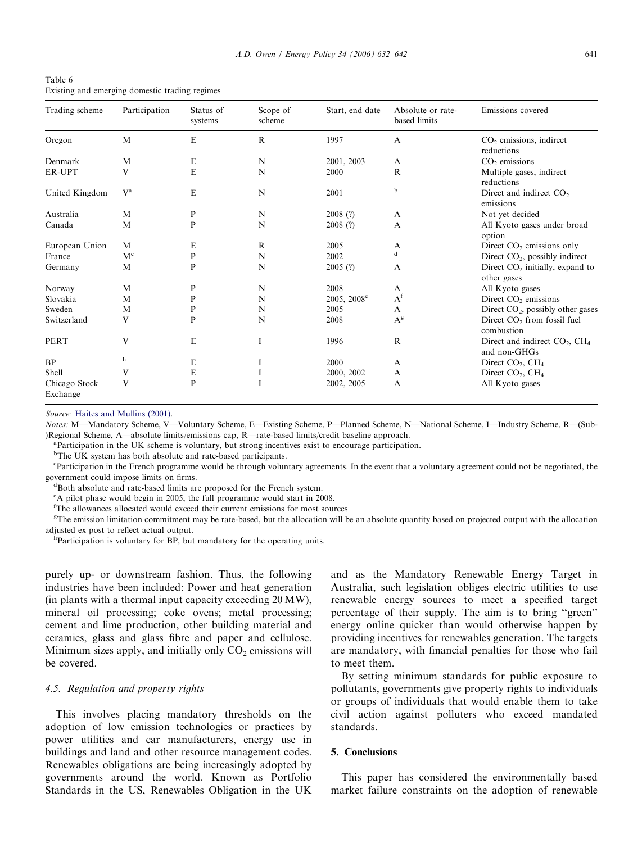<span id="page-9-0"></span>

| Table 6 |                                                |  |  |
|---------|------------------------------------------------|--|--|
|         | Existing and emerging domestic trading regimes |  |  |

| Trading scheme            | Participation | Status of<br>systems | Scope of<br>scheme | Start, end date | Absolute or rate-<br>based limits | Emissions covered                                           |
|---------------------------|---------------|----------------------|--------------------|-----------------|-----------------------------------|-------------------------------------------------------------|
| Oregon                    | M             | E                    | $\mathbb{R}$       | 1997            | A                                 | $CO2$ emissions, indirect<br>reductions                     |
| Denmark                   | M             | E                    | N                  | 2001, 2003      | $\mathbf{A}$                      | $CO2$ emissions                                             |
| ER-UPT                    | V             | E                    | N                  | 2000            | $\mathbb{R}$                      | Multiple gases, indirect<br>reductions                      |
| United Kingdom            | $V^a$         | E                    | N                  | 2001            | b                                 | Direct and indirect CO <sub>2</sub><br>emissions            |
| Australia                 | M             | P                    | N                  | 2008(?)         | A                                 | Not yet decided                                             |
| Canada                    | M             | P                    | N                  | 2008 (?)        | $\mathsf{A}$                      | All Kyoto gases under broad<br>option                       |
| European Union            | M             | E                    | $\mathbb{R}$       | 2005            | A                                 | Direct $CO2$ emissions only                                 |
| France                    | $M^c$         | P                    | N                  | 2002            | d                                 | Direct $CO2$ , possibly indirect                            |
| Germany                   | M             | P                    | N                  | 2005(?)         | A                                 | Direct $CO2$ initially, expand to<br>other gases            |
| Norway                    | M             | P                    | N                  | 2008            | A                                 | All Kyoto gases                                             |
| Slovakia                  | M             | P                    | N                  | $2005, 2008^e$  | $A^f$                             | Direct $CO2$ emissions                                      |
| Sweden                    | M             | P                    | N                  | 2005            | $\mathbf{A}$                      | Direct CO <sub>2</sub> , possibly other gases               |
| Switzerland               | V             | P                    | N                  | 2008            | $A^g$                             | Direct $CO2$ from fossil fuel<br>combustion                 |
| <b>PERT</b>               | V             | E                    | I                  | 1996            | $\mathbf R$                       | Direct and indirect $CO2$ , CH <sub>4</sub><br>and non-GHGs |
| <b>BP</b>                 | h             | E                    |                    | 2000            | A                                 | Direct $CO2$ , $CH4$                                        |
| Shell                     | V             | E                    |                    | 2000, 2002      | A                                 | Direct $CO2$ , $CH4$                                        |
| Chicago Stock<br>Exchange | V             | $\mathbf{P}$         |                    | 2002, 2005      | $\mathbf{A}$                      | All Kyoto gases                                             |

Source: [Haites and Mullins \(2001\)](#page-10-0).

Notes: M—Mandatory Scheme, V—Voluntary Scheme, E—Existing Scheme, P—Planned Scheme, N—National Scheme, I—Industry Scheme, R—(Sub- )Regional Scheme, A—absolute limits/emissions cap, R—rate-based limits/credit baseline approach. <sup>a</sup>

<sup>a</sup>Participation in the UK scheme is voluntary, but strong incentives exist to encourage participation.

<sup>b</sup>The UK system has both absolute and rate-based participants.

c Participation in the French programme would be through voluntary agreements. In the event that a voluntary agreement could not be negotiated, the government could impose limits on firms.

Both absolute and rate-based limits are proposed for the French system.

<sup>e</sup>A pilot phase would begin in 2005, the full programme would start in 2008.

<sup>f</sup>The allowances allocated would exceed their current emissions for most sources

<sup>g</sup>The emission limitation commitment may be rate-based, but the allocation will be an absolute quantity based on projected output with the allocation adjusted ex post to reflect actual output.

<sup>h</sup>Participation is voluntary for BP, but mandatory for the operating units.

purely up- or downstream fashion. Thus, the following industries have been included: Power and heat generation (in plants with a thermal input capacity exceeding 20 MW), mineral oil processing; coke ovens; metal processing; cement and lime production, other building material and ceramics, glass and glass fibre and paper and cellulose. Minimum sizes apply, and initially only  $CO<sub>2</sub>$  emissions will be covered.

## 4.5. Regulation and property rights

This involves placing mandatory thresholds on the adoption of low emission technologies or practices by power utilities and car manufacturers, energy use in buildings and land and other resource management codes. Renewables obligations are being increasingly adopted by governments around the world. Known as Portfolio Standards in the US, Renewables Obligation in the UK and as the Mandatory Renewable Energy Target in Australia, such legislation obliges electric utilities to use renewable energy sources to meet a specified target percentage of their supply. The aim is to bring ''green'' energy online quicker than would otherwise happen by providing incentives for renewables generation. The targets are mandatory, with financial penalties for those who fail to meet them.

By setting minimum standards for public exposure to pollutants, governments give property rights to individuals or groups of individuals that would enable them to take civil action against polluters who exceed mandated standards.

# 5. Conclusions

This paper has considered the environmentally based market failure constraints on the adoption of renewable